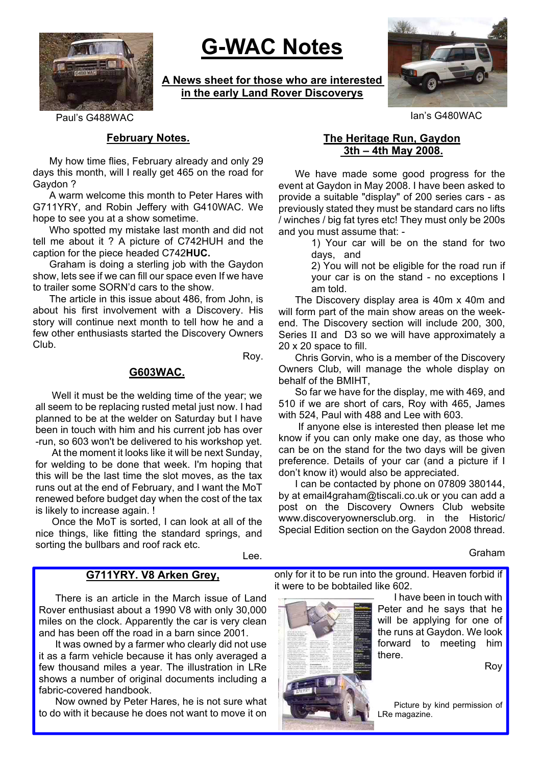

# **G-WAC Notes**

**A News sheet for those who are interested in the early Land Rover Discoverys**



Paul's G488WAC Ian's G480WAC

## **February Notes.**

My how time flies, February already and only 29 days this month, will I really get 465 on the road for Gaydon ?

A warm welcome this month to Peter Hares with G711YRY, and Robin Jeffery with G410WAC. We hope to see you at a show sometime.

Who spotted my mistake last month and did not tell me about it ? A picture of C742HUH and the caption for the piece headed C742**HUC.**

Graham is doing a sterling job with the Gaydon show, lets see if we can fill our space even If we have to trailer some SORN'd cars to the show.

The article in this issue about 486, from John, is about his first involvement with a Discovery. His story will continue next month to tell how he and a few other enthusiasts started the Discovery Owners Club.

Roy.

## **G603WAC.**

Well it must be the welding time of the year; we all seem to be replacing rusted metal just now. I had planned to be at the welder on Saturday but I have been in touch with him and his current job has over -run, so 603 won't be delivered to his workshop yet.

At the moment it looks like it will be next Sunday, for welding to be done that week. I'm hoping that this will be the last time the slot moves, as the tax runs out at the end of February, and I want the MoT renewed before budget day when the cost of the tax is likely to increase again. !

Once the MoT is sorted, I can look at all of the nice things, like fitting the standard springs, and sorting the bullbars and roof rack etc.

Lee.

## **G711YRY. V8 Arken Grey,**

There is an article in the March issue of Land Rover enthusiast about a 1990 V8 with only 30,000 miles on the clock. Apparently the car is very clean and has been off the road in a barn since 2001.

It was owned by a farmer who clearly did not use it as a farm vehicle because it has only averaged a few thousand miles a year. The illustration in LRe shows a number of original documents including a fabric-covered handbook.

Now owned by Peter Hares, he is not sure what to do with it because he does not want to move it on

# **The Heritage Run, Gaydon 3th – 4th May 2008.**

We have made some good progress for the event at Gaydon in May 2008. I have been asked to provide a suitable "display" of 200 series cars - as previously stated they must be standard cars no lifts / winches / big fat tyres etc! They must only be 200s and you must assume that: -

1) Your car will be on the stand for two days, and

2) You will not be eligible for the road run if your car is on the stand - no exceptions I am told.

The Discovery display area is 40m x 40m and will form part of the main show areas on the weekend. The Discovery section will include 200, 300, Series II and D3 so we will have approximately a 20 x 20 space to fill.

Chris Gorvin, who is a member of the Discovery Owners Club, will manage the whole display on behalf of the BMIHT,

So far we have for the display, me with 469, and 510 if we are short of cars, Roy with 465, James with 524, Paul with 488 and Lee with 603.

If anyone else is interested then please let me know if you can only make one day, as those who can be on the stand for the two days will be given preference. Details of your car (and a picture if I don't know it) would also be appreciated.

I can be contacted by phone on 07809 380144, by at email4graham@tiscali.co.uk or you can add a post on the Discovery Owners Club website www.discoveryownersclub.org. in the Historic/ Special Edition section on the Gaydon 2008 thread.

Graham

only for it to be run into the ground. Heaven forbid if it were to be bobtailed like 602.

> I have been in touch with Peter and he says that he will be applying for one of the runs at Gaydon. We look forward to meeting him there.

> > Roy

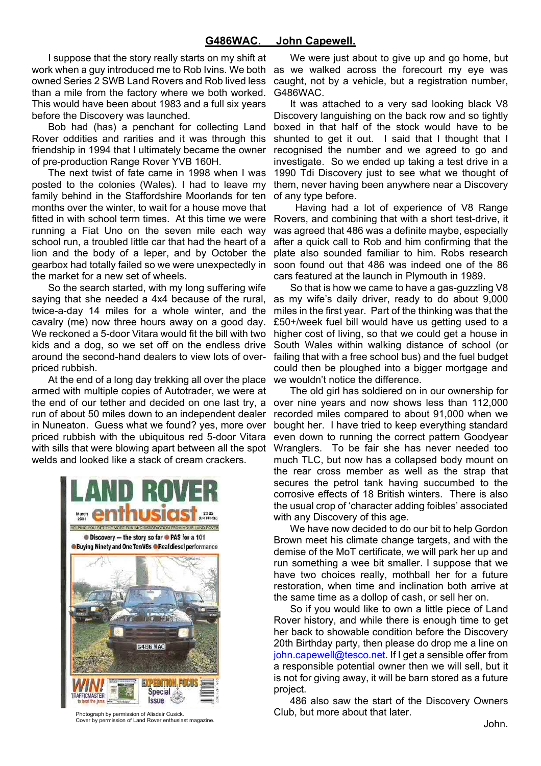I suppose that the story really starts on my shift at work when a guy introduced me to Rob Ivins. We both owned Series 2 SWB Land Rovers and Rob lived less than a mile from the factory where we both worked. This would have been about 1983 and a full six years before the Discovery was launched.

Bob had (has) a penchant for collecting Land Rover oddities and rarities and it was through this friendship in 1994 that I ultimately became the owner of pre-production Range Rover YVB 160H.

The next twist of fate came in 1998 when I was posted to the colonies (Wales). I had to leave my family behind in the Staffordshire Moorlands for ten months over the winter, to wait for a house move that fitted in with school term times. At this time we were running a Fiat Uno on the seven mile each way school run, a troubled little car that had the heart of a lion and the body of a leper, and by October the gearbox had totally failed so we were unexpectedly in the market for a new set of wheels.

So the search started, with my long suffering wife saying that she needed a 4x4 because of the rural, twice-a-day 14 miles for a whole winter, and the cavalry (me) now three hours away on a good day. We reckoned a 5-door Vitara would fit the bill with two kids and a dog, so we set off on the endless drive around the second-hand dealers to view lots of overpriced rubbish.

At the end of a long day trekking all over the place armed with multiple copies of Autotrader, we were at the end of our tether and decided on one last try, a run of about 50 miles down to an independent dealer in Nuneaton. Guess what we found? yes, more over priced rubbish with the ubiquitous red 5-door Vitara with sills that were blowing apart between all the spot welds and looked like a stack of cream crackers.



Photograph by permission of Alisdair Cusick. Cover by permission of Land Rover enthusiast magazine.

We were just about to give up and go home, but as we walked across the forecourt my eye was caught, not by a vehicle, but a registration number, G486WAC.

It was attached to a very sad looking black V8 Discovery languishing on the back row and so tightly boxed in that half of the stock would have to be shunted to get it out. I said that I thought that I recognised the number and we agreed to go and investigate. So we ended up taking a test drive in a 1990 Tdi Discovery just to see what we thought of them, never having been anywhere near a Discovery of any type before.

Having had a lot of experience of V8 Range Rovers, and combining that with a short test-drive, it was agreed that 486 was a definite maybe, especially after a quick call to Rob and him confirming that the plate also sounded familiar to him. Robs research soon found out that 486 was indeed one of the 86 cars featured at the launch in Plymouth in 1989.

So that is how we came to have a gas-guzzling V8 as my wife's daily driver, ready to do about 9,000 miles in the first year. Part of the thinking was that the £50+/week fuel bill would have us getting used to a higher cost of living, so that we could get a house in South Wales within walking distance of school (or failing that with a free school bus) and the fuel budget could then be ploughed into a bigger mortgage and we wouldn't notice the difference.

The old girl has soldiered on in our ownership for over nine years and now shows less than 112,000 recorded miles compared to about 91,000 when we bought her. I have tried to keep everything standard even down to running the correct pattern Goodyear Wranglers. To be fair she has never needed too much TLC, but now has a collapsed body mount on the rear cross member as well as the strap that secures the petrol tank having succumbed to the corrosive effects of 18 British winters. There is also the usual crop of 'character adding foibles' associated with any Discovery of this age.

We have now decided to do our bit to help Gordon Brown meet his climate change targets, and with the demise of the MoT certificate, we will park her up and run something a wee bit smaller. I suppose that we have two choices really, mothball her for a future restoration, when time and inclination both arrive at the same time as a dollop of cash, or sell her on.

So if you would like to own a little piece of Land Rover history, and while there is enough time to get her back to showable condition before the Discovery 20th Birthday party, then please do drop me a line on john.capewell@tesco.net. If I get a sensible offer from a responsible potential owner then we will sell, but it is not for giving away, it will be barn stored as a future project.

486 also saw the start of the Discovery Owners Club, but more about that later.